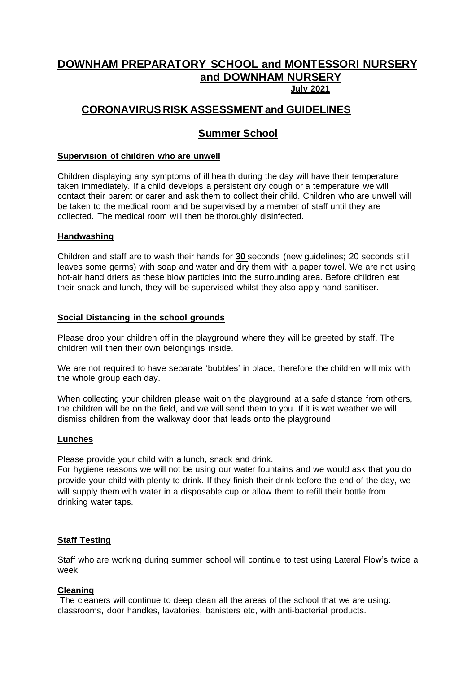# **DOWNHAM PREPARATORY SCHOOL and MONTESSORI NURSERY and DOWNHAM NURSERY July 2021**

# **CORONAVIRUS RISK ASSESSMENT and GUIDELINES**

# **Summer School**

#### **Supervision of children who are unwell**

Children displaying any symptoms of ill health during the day will have their temperature taken immediately. If a child develops a persistent dry cough or a temperature we will contact their parent or carer and ask them to collect their child. Children who are unwell will be taken to the medical room and be supervised by a member of staff until they are collected. The medical room will then be thoroughly disinfected.

### **Handwashing**

Children and staff are to wash their hands for **30** seconds (new guidelines; 20 seconds still leaves some germs) with soap and water and dry them with a paper towel. We are not using hot-air hand driers as these blow particles into the surrounding area. Before children eat their snack and lunch, they will be supervised whilst they also apply hand sanitiser.

### **Social Distancing in the school grounds**

Please drop your children off in the playground where they will be greeted by staff. The children will then their own belongings inside.

We are not required to have separate 'bubbles' in place, therefore the children will mix with the whole group each day.

When collecting your children please wait on the playground at a safe distance from others, the children will be on the field, and we will send them to you. If it is wet weather we will dismiss children from the walkway door that leads onto the playground.

#### **Lunches**

Please provide your child with a lunch, snack and drink.

For hygiene reasons we will not be using our water fountains and we would ask that you do provide your child with plenty to drink. If they finish their drink before the end of the day, we will supply them with water in a disposable cup or allow them to refill their bottle from drinking water taps.

## **Staff Testing**

Staff who are working during summer school will continue to test using Lateral Flow's twice a week.

#### **Cleaning**

The cleaners will continue to deep clean all the areas of the school that we are using: classrooms, door handles, lavatories, banisters etc, with anti-bacterial products.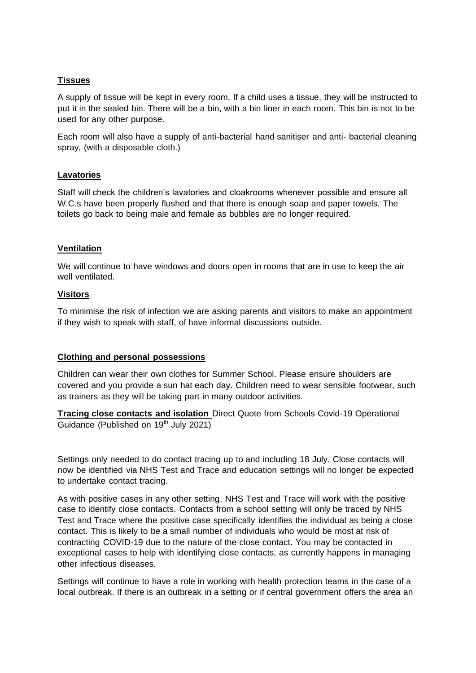# **Tissues**

A supply of tissue will be kept in every room. If a child uses a tissue, they will be instructed to put it in the sealed bin. There will be a bin, with a bin liner in each room. This bin is not to be used for any other purpose.

Each room will also have a supply of anti-bacterial hand sanitiser and anti- bacterial cleaning spray, (with a disposable cloth.)

## **Lavatories**

Staff will check the children's lavatories and cloakrooms whenever possible and ensure all W.C.s have been properly flushed and that there is enough soap and paper towels. The toilets go back to being male and female as bubbles are no longer required.

### **Ventilation**

We will continue to have windows and doors open in rooms that are in use to keep the air well ventilated.

#### **Visitors**

To minimise the risk of infection we are asking parents and visitors to make an appointment if they wish to speak with staff, of have informal discussions outside.

## **Clothing and personal possessions**

Children can wear their own clothes for Summer School. Please ensure shoulders are covered and you provide a sun hat each day. Children need to wear sensible footwear, such as trainers as they will be taking part in many outdoor activities.

**Tracing close contacts and isolation** Direct Quote from Schools Covid-19 Operational Guidance (Published on  $19<sup>th</sup>$  July 2021)

Settings only needed to do contact tracing up to and including 18 July. Close contacts will now be identified via NHS Test and Trace and education settings will no longer be expected to undertake contact tracing.

As with positive cases in any other setting, NHS Test and Trace will work with the positive case to identify close contacts. Contacts from a school setting will only be traced by NHS Test and Trace where the positive case specifically identifies the individual as being a close contact. This is likely to be a small number of individuals who would be most at risk of contracting COVID-19 due to the nature of the close contact. You may be contacted in exceptional cases to help with identifying close contacts, as currently happens in managing other infectious diseases.

Settings will continue to have a role in working with health protection teams in the case of a local outbreak. If there is an outbreak in a setting or if central government offers the area an